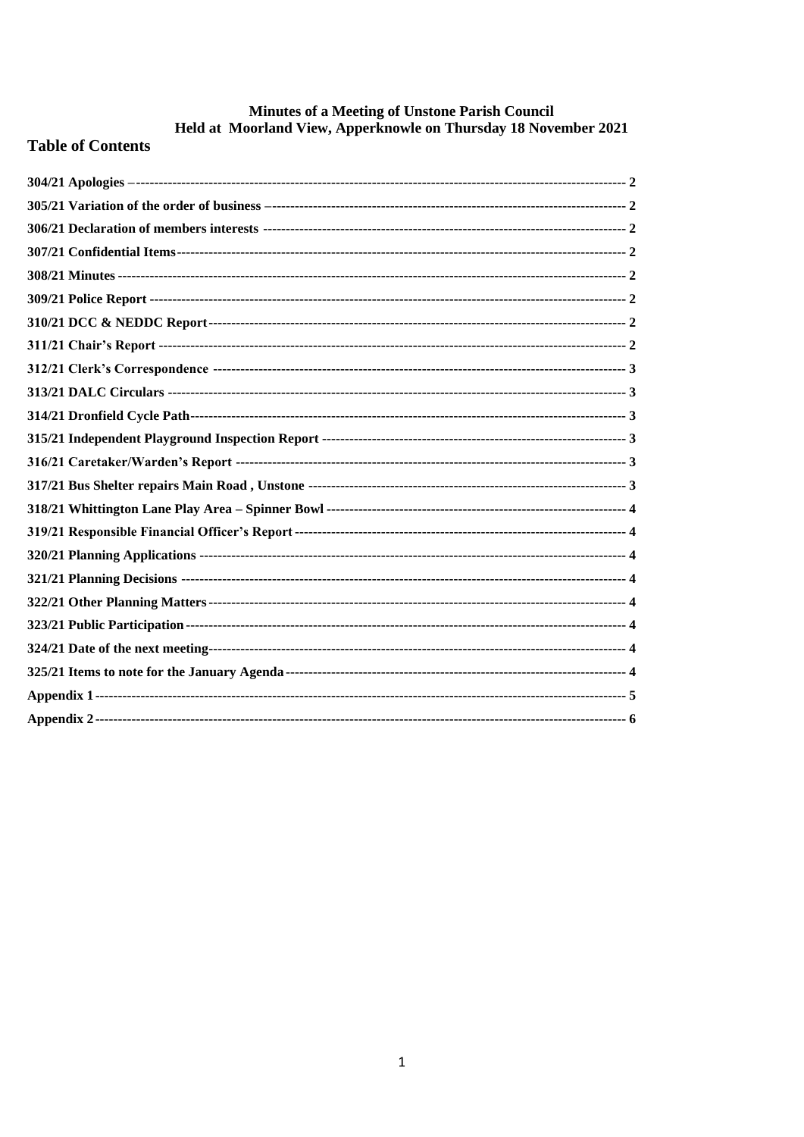# Minutes of a Meeting of Unstone Parish Council<br>Held at Moorland View, Apperknowle on Thursday 18 November 2021

# **Table of Contents**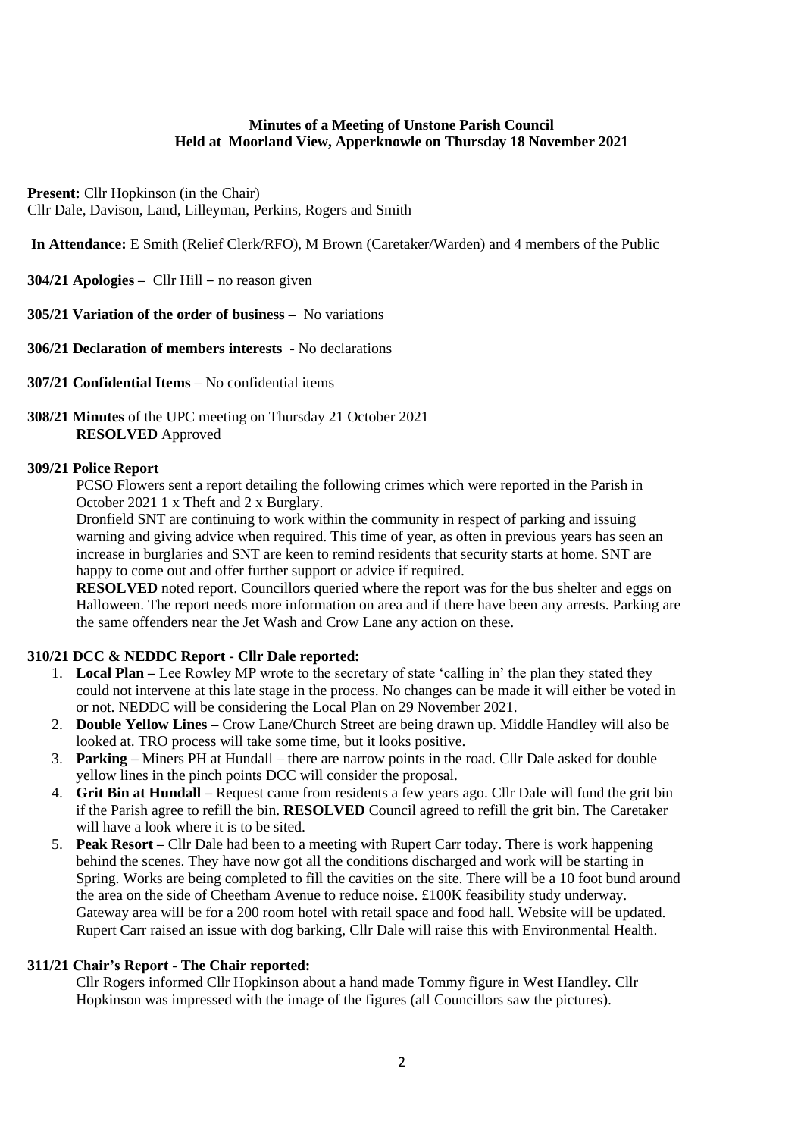#### **Minutes of a Meeting of Unstone Parish Council Held at Moorland View, Apperknowle on Thursday 18 November 2021**

**Present:** Cllr Hopkinson (in the Chair) Cllr Dale, Davison, Land, Lilleyman, Perkins, Rogers and Smith

**In Attendance:** E Smith (Relief Clerk/RFO), M Brown (Caretaker/Warden) and 4 members of the Public

<span id="page-1-0"></span>**304/21 Apologies –** Cllr Hill – no reason given

<span id="page-1-1"></span>**305/21 Variation of the order of business –** No variations

<span id="page-1-2"></span>**306/21 Declaration of members interests** - No declarations

- <span id="page-1-3"></span>**307/21 Confidential Items** – No confidential items
- <span id="page-1-4"></span>**308/21 Minutes** of the UPC meeting on Thursday 21 October 2021 **RESOLVED** Approved

#### <span id="page-1-5"></span>**309/21 Police Report**

PCSO Flowers sent a report detailing the following crimes which were reported in the Parish in October 2021 1 x Theft and 2 x Burglary.

Dronfield SNT are continuing to work within the community in respect of parking and issuing warning and giving advice when required. This time of year, as often in previous years has seen an increase in burglaries and SNT are keen to remind residents that security starts at home. SNT are happy to come out and offer further support or advice if required.

**RESOLVED** noted report. Councillors queried where the report was for the bus shelter and eggs on Halloween. The report needs more information on area and if there have been any arrests. Parking are the same offenders near the Jet Wash and Crow Lane any action on these.

# <span id="page-1-6"></span>**310/21 DCC & NEDDC Report - Cllr Dale reported:**

- 1. **Local Plan –** Lee Rowley MP wrote to the secretary of state 'calling in' the plan they stated they could not intervene at this late stage in the process. No changes can be made it will either be voted in or not. NEDDC will be considering the Local Plan on 29 November 2021.
- 2. **Double Yellow Lines –** Crow Lane/Church Street are being drawn up. Middle Handley will also be looked at. TRO process will take some time, but it looks positive.
- 3. **Parking –** Miners PH at Hundall there are narrow points in the road. Cllr Dale asked for double yellow lines in the pinch points DCC will consider the proposal.
- 4. **Grit Bin at Hundall –** Request came from residents a few years ago. Cllr Dale will fund the grit bin if the Parish agree to refill the bin. **RESOLVED** Council agreed to refill the grit bin. The Caretaker will have a look where it is to be sited.
- 5. **Peak Resort –** Cllr Dale had been to a meeting with Rupert Carr today. There is work happening behind the scenes. They have now got all the conditions discharged and work will be starting in Spring. Works are being completed to fill the cavities on the site. There will be a 10 foot bund around the area on the side of Cheetham Avenue to reduce noise. £100K feasibility study underway. Gateway area will be for a 200 room hotel with retail space and food hall. Website will be updated. Rupert Carr raised an issue with dog barking, Cllr Dale will raise this with Environmental Health.

# <span id="page-1-7"></span>**311/21 Chair's Report - The Chair reported:**

Cllr Rogers informed Cllr Hopkinson about a hand made Tommy figure in West Handley. Cllr Hopkinson was impressed with the image of the figures (all Councillors saw the pictures).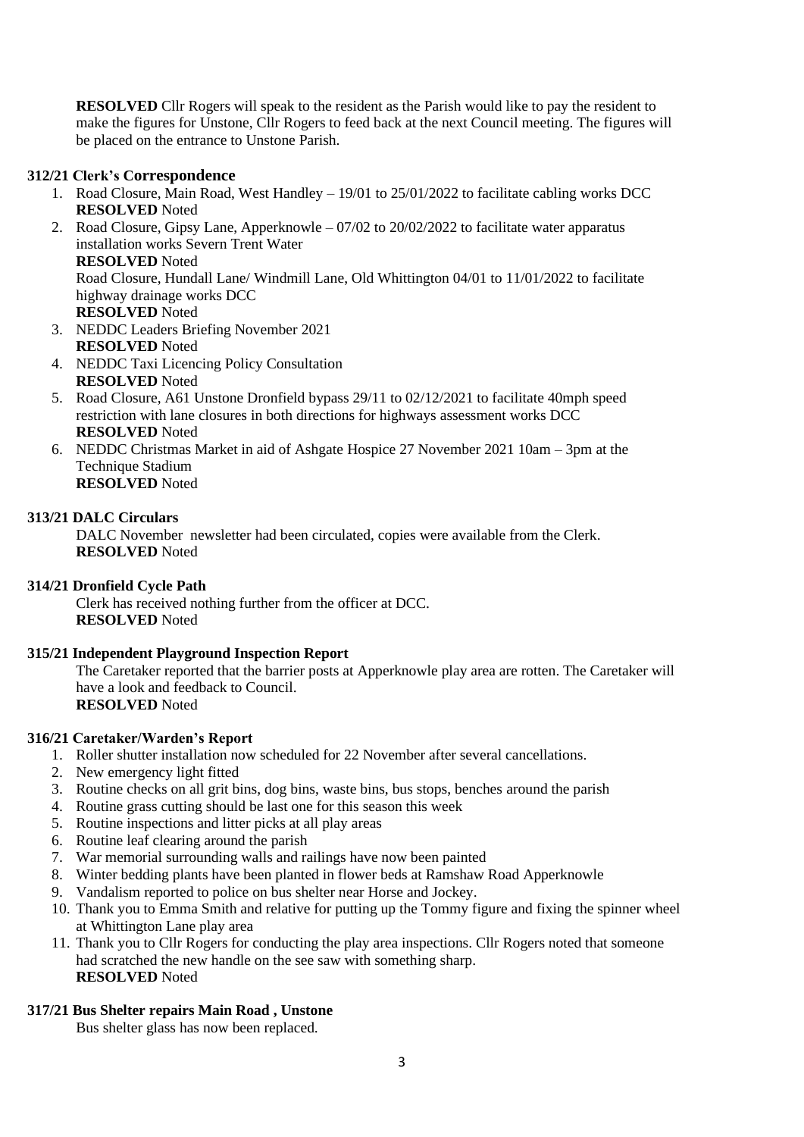**RESOLVED** Cllr Rogers will speak to the resident as the Parish would like to pay the resident to make the figures for Unstone, Cllr Rogers to feed back at the next Council meeting. The figures will be placed on the entrance to Unstone Parish.

# <span id="page-2-0"></span>**312/21 Clerk's Correspondence**

- 1. Road Closure, Main Road, West Handley 19/01 to 25/01/2022 to facilitate cabling works DCC **RESOLVED** Noted
- 2. Road Closure, Gipsy Lane, Apperknowle 07/02 to 20/02/2022 to facilitate water apparatus installation works Severn Trent Water

#### **RESOLVED** Noted

Road Closure, Hundall Lane/ Windmill Lane, Old Whittington 04/01 to 11/01/2022 to facilitate highway drainage works DCC

# **RESOLVED** Noted

3. NEDDC Leaders Briefing November 2021 **RESOLVED** Noted

- 4. NEDDC Taxi Licencing Policy Consultation **RESOLVED** Noted
- 5. Road Closure, A61 Unstone Dronfield bypass 29/11 to 02/12/2021 to facilitate 40mph speed restriction with lane closures in both directions for highways assessment works DCC **RESOLVED** Noted
- 6. NEDDC Christmas Market in aid of Ashgate Hospice 27 November 2021 10am 3pm at the Technique Stadium **RESOLVED** Noted

# <span id="page-2-1"></span>**313/21 DALC Circulars**

DALC November newsletter had been circulated, copies were available from the Clerk. **RESOLVED** Noted

# <span id="page-2-2"></span>**314/21 Dronfield Cycle Path**

Clerk has received nothing further from the officer at DCC. **RESOLVED** Noted

# <span id="page-2-3"></span>**315/21 Independent Playground Inspection Report**

The Caretaker reported that the barrier posts at Apperknowle play area are rotten. The Caretaker will have a look and feedback to Council. **RESOLVED** Noted

# <span id="page-2-4"></span>**316/21 Caretaker/Warden's Report**

- 1. Roller shutter installation now scheduled for 22 November after several cancellations.
- 2. New emergency light fitted
- 3. Routine checks on all grit bins, dog bins, waste bins, bus stops, benches around the parish
- 4. Routine grass cutting should be last one for this season this week
- 5. Routine inspections and litter picks at all play areas
- 6. Routine leaf clearing around the parish
- 7. War memorial surrounding walls and railings have now been painted
- 8. Winter bedding plants have been planted in flower beds at Ramshaw Road Apperknowle
- 9. Vandalism reported to police on bus shelter near Horse and Jockey.
- 10. Thank you to Emma Smith and relative for putting up the Tommy figure and fixing the spinner wheel at Whittington Lane play area
- 11. Thank you to Cllr Rogers for conducting the play area inspections. Cllr Rogers noted that someone had scratched the new handle on the see saw with something sharp. **RESOLVED** Noted

# <span id="page-2-5"></span>**317/21 Bus Shelter repairs Main Road , Unstone**

Bus shelter glass has now been replaced.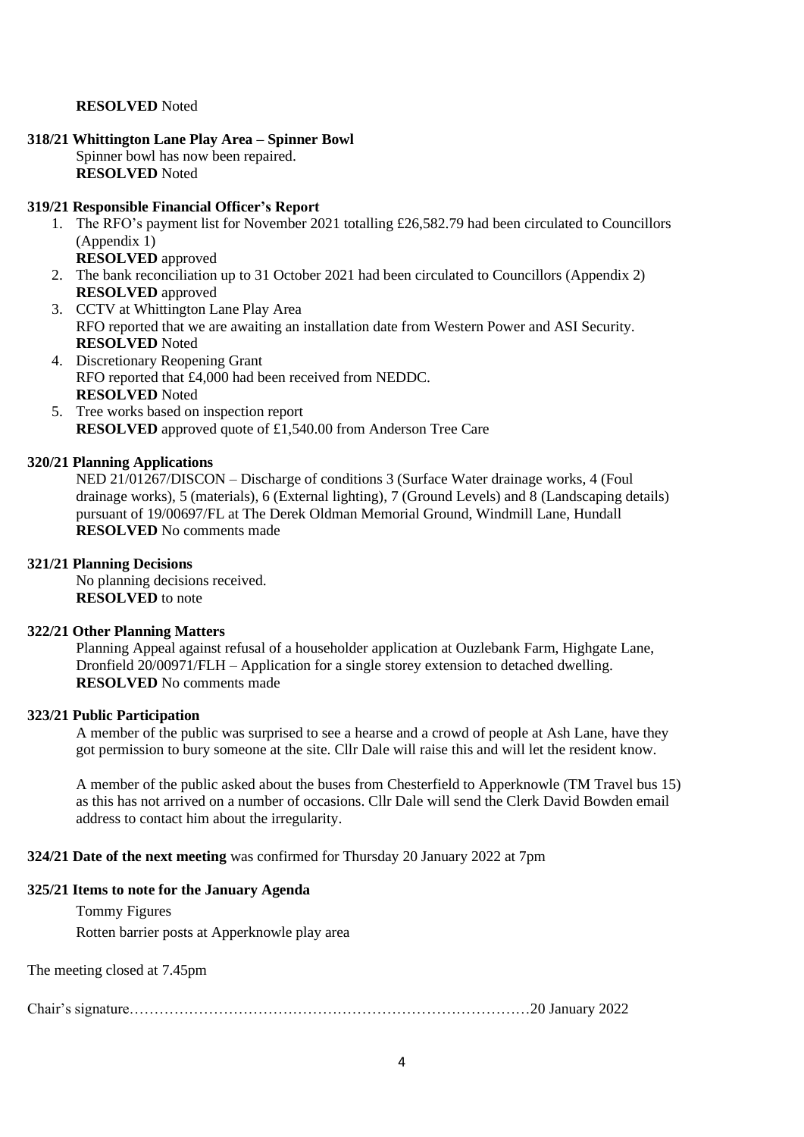#### **RESOLVED** Noted

#### <span id="page-3-0"></span>**318/21 Whittington Lane Play Area – Spinner Bowl** Spinner bowl has now been repaired. **RESOLVED** Noted

#### <span id="page-3-1"></span>**319/21 Responsible Financial Officer's Report**

- 1. The RFO's payment list for November 2021 totalling £26,582.79 had been circulated to Councillors (Appendix 1)
	- **RESOLVED** approved
- 2. The bank reconciliation up to 31 October 2021 had been circulated to Councillors (Appendix 2) **RESOLVED** approved
- 3. CCTV at Whittington Lane Play Area RFO reported that we are awaiting an installation date from Western Power and ASI Security. **RESOLVED** Noted
- 4. Discretionary Reopening Grant RFO reported that £4,000 had been received from NEDDC. **RESOLVED** Noted
- 5. Tree works based on inspection report **RESOLVED** approved quote of £1,540.00 from Anderson Tree Care

#### <span id="page-3-2"></span>**320/21 Planning Applications**

NED 21/01267/DISCON – Discharge of conditions 3 (Surface Water drainage works, 4 (Foul drainage works), 5 (materials), 6 (External lighting), 7 (Ground Levels) and 8 (Landscaping details) pursuant of 19/00697/FL at The Derek Oldman Memorial Ground, Windmill Lane, Hundall **RESOLVED** No comments made

#### <span id="page-3-3"></span>**321/21 Planning Decisions**

No planning decisions received. **RESOLVED** to note

#### <span id="page-3-4"></span>**322/21 Other Planning Matters**

Planning Appeal against refusal of a householder application at Ouzlebank Farm, Highgate Lane, Dronfield 20/00971/FLH – Application for a single storey extension to detached dwelling. **RESOLVED** No comments made

#### <span id="page-3-5"></span>**323/21 Public Participation**

A member of the public was surprised to see a hearse and a crowd of people at Ash Lane, have they got permission to bury someone at the site. Cllr Dale will raise this and will let the resident know.

A member of the public asked about the buses from Chesterfield to Apperknowle (TM Travel bus 15) as this has not arrived on a number of occasions. Cllr Dale will send the Clerk David Bowden email address to contact him about the irregularity.

<span id="page-3-6"></span>**324/21 Date of the next meeting** was confirmed for Thursday 20 January 2022 at 7pm

#### <span id="page-3-7"></span>**325/21 Items to note for the January Agenda**

Tommy Figures Rotten barrier posts at Apperknowle play area

The meeting closed at 7.45pm

Chair's signature………………………………………………………………………20 January 2022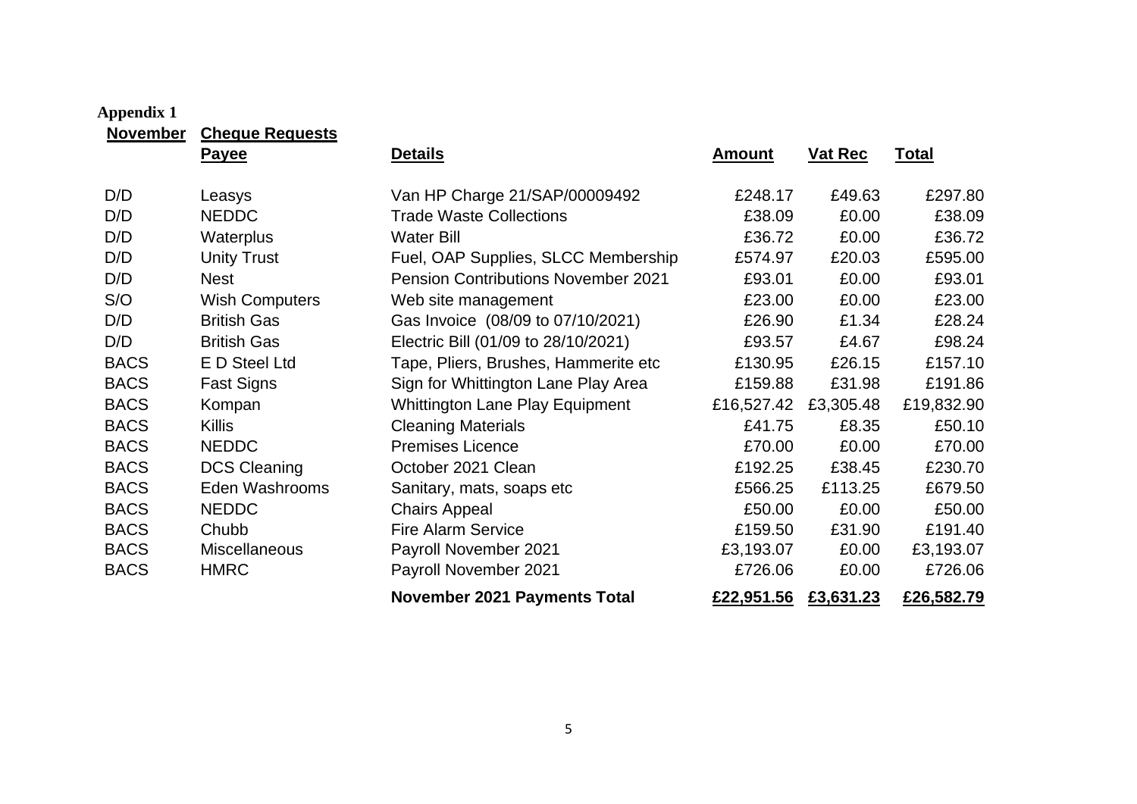<span id="page-4-0"></span>

| <b>November</b> | <b>Cheque Requests</b> |                                            |               |                |              |
|-----------------|------------------------|--------------------------------------------|---------------|----------------|--------------|
|                 | <b>Payee</b>           | <b>Details</b>                             | <u>Amount</u> | <b>Vat Rec</b> | <u>Total</u> |
| D/D             | Leasys                 | Van HP Charge 21/SAP/00009492              | £248.17       | £49.63         | £297.80      |
| D/D             | <b>NEDDC</b>           | <b>Trade Waste Collections</b>             | £38.09        | £0.00          | £38.09       |
| D/D             | <b>Waterplus</b>       | <b>Water Bill</b>                          | £36.72        | £0.00          | £36.72       |
| D/D             | <b>Unity Trust</b>     | Fuel, OAP Supplies, SLCC Membership        | £574.97       | £20.03         | £595.00      |
| D/D             | Nest                   | <b>Pension Contributions November 2021</b> | £93.01        | £0.00          | £93.01       |
| S/O             | <b>Wish Computers</b>  | Web site management                        | £23.00        | £0.00          | £23.00       |
| D/D             | <b>British Gas</b>     | Gas Invoice (08/09 to 07/10/2021)          | £26.90        | £1.34          | £28.24       |
| D/D             | <b>British Gas</b>     | Electric Bill (01/09 to 28/10/2021)        | £93.57        | £4.67          | £98.24       |
| <b>BACS</b>     | <b>E</b> D Steel Ltd   | Tape, Pliers, Brushes, Hammerite etc       | £130.95       | £26.15         | £157.10      |
| <b>BACS</b>     | Fast Signs             | Sign for Whittington Lane Play Area        | £159.88       | £31.98         | £191.86      |
| <b>BACS</b>     | Kompan                 | <b>Whittington Lane Play Equipment</b>     | £16,527.42    | £3,305.48      | £19,832.90   |
| <b>BACS</b>     | <b>Killis</b>          | <b>Cleaning Materials</b>                  | £41.75        | £8.35          | £50.10       |
| <b>BACS</b>     | <b>NEDDC</b>           | <b>Premises Licence</b>                    | £70.00        | £0.00          | £70.00       |
| <b>BACS</b>     | <b>DCS Cleaning</b>    | October 2021 Clean                         | £192.25       | £38.45         | £230.70      |
| <b>BACS</b>     | Eden Washrooms         | Sanitary, mats, soaps etc                  | £566.25       | £113.25        | £679.50      |
| <b>BACS</b>     | <b>NEDDC</b>           | <b>Chairs Appeal</b>                       | £50.00        | £0.00          | £50.00       |
| <b>BACS</b>     | Chubb                  | <b>Fire Alarm Service</b>                  | £159.50       | £31.90         | £191.40      |
| <b>BACS</b>     | <b>Miscellaneous</b>   | Payroll November 2021                      | £3,193.07     | £0.00          | £3,193.07    |
| <b>BACS</b>     | <b>HMRC</b>            | Payroll November 2021                      | £726.06       | £0.00          | £726.06      |
|                 |                        | <b>November 2021 Payments Total</b>        | £22,951.56    | £3,631.23      | £26,582.79   |